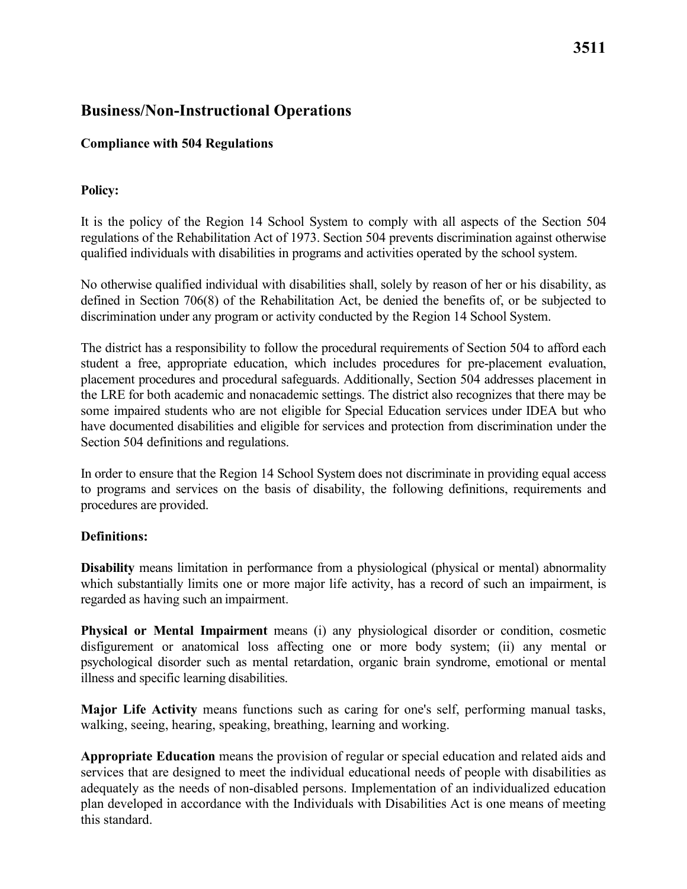## **Compliance with 504 Regulations**

## **Policy:**

It is the policy of the Region 14 School System to comply with all aspects of the Section 504 regulations of the Rehabilitation Act of 1973. Section 504 prevents discrimination against otherwise qualified individuals with disabilities in programs and activities operated by the school system.

 No otherwise qualified individual with disabilities shall, solely by reason of her or his disability, as discrimination under any program or activity conducted by the Region 14 School System. defined in Section 706(8) of the Rehabilitation Act, be denied the benefits of, or be subjected to

 The district has a responsibility to follow the procedural requirements of Section 504 to afford each student a free, appropriate education, which includes procedures for pre-placement evaluation, have documented disabilities and eligible for services and protection from discrimination under the placement procedures and procedural safeguards. Additionally, Section 504 addresses placement in the LRE for both academic and nonacademic settings. The district also recognizes that there may be some impaired students who are not eligible for Special Education services under IDEA but who Section 504 definitions and regulations.

 In order to ensure that the Region 14 School System does not discriminate in providing equal access procedures are provided. to programs and services on the basis of disability, the following definitions, requirements and

## **Definitions:**

 regarded as having such an impairment. **Disability** means limitation in performance from a physiological (physical or mental) abnormality which substantially limits one or more major life activity, has a record of such an impairment, is

 **Physical or Mental Impairment** means (i) any physiological disorder or condition, cosmetic illness and specific learning disabilities. disfigurement or anatomical loss affecting one or more body system; (ii) any mental or psychological disorder such as mental retardation, organic brain syndrome, emotional or mental

**Major Life Activity** means functions such as caring for one's self, performing manual tasks, walking, seeing, hearing, speaking, breathing, learning and working.

 **Appropriate Education** means the provision of regular or special education and related aids and adequately as the needs of non-disabled persons. Implementation of an individualized education services that are designed to meet the individual educational needs of people with disabilities as plan developed in accordance with the Individuals with Disabilities Act is one means of meeting this standard.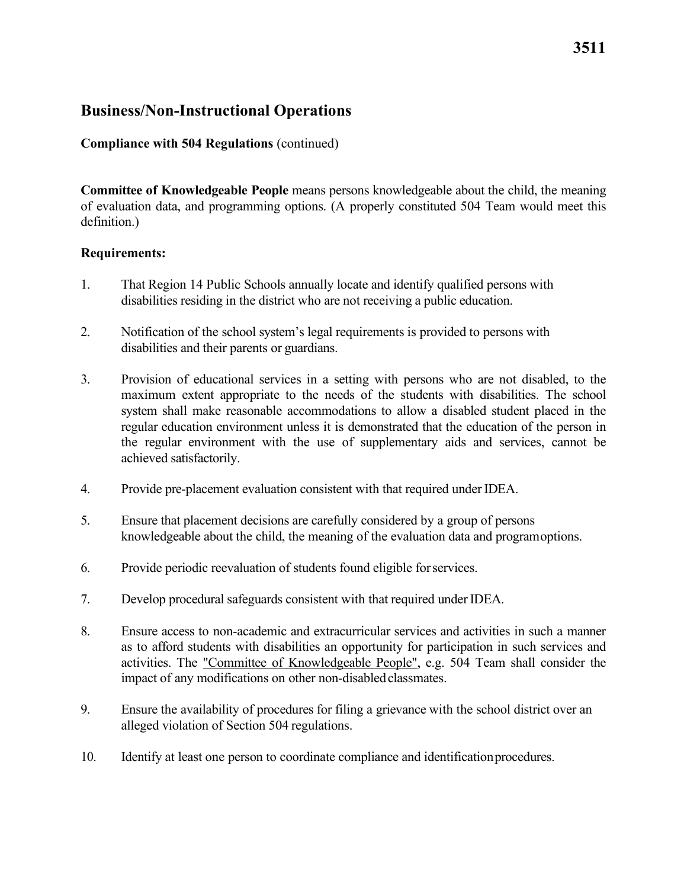### **Compliance with 504 Regulations** (continued)

 of evaluation data, and programming options. (A properly constituted 504 Team would meet this **Committee of Knowledgeable People** means persons knowledgeable about the child, the meaning definition.)

#### **Requirements:**

- disabilities residing in the district who are not receiving a public education. 1. That Region 14 Public Schools annually locate and identify qualified persons with
- disabilities and their parents or guardians. 2. Notification of the school system's legal requirements is provided to persons with
- 3. Provision of educational services in a setting with persons who are not disabled, to the system shall make reasonable accommodations to allow a disabled student placed in the the regular environment with the use of supplementary aids and services, cannot be maximum extent appropriate to the needs of the students with disabilities. The school regular education environment unless it is demonstrated that the education of the person in achieved satisfactorily.
- 4. Provide pre-placement evaluation consistent with that required under IDEA.
- knowledgeable about the child, the meaning of the evaluation data and programoptions. 5. Ensure that placement decisions are carefully considered by a group of persons
- 6. Provide periodic reevaluation of students found eligible for services.
- 7. Develop procedural safeguards consistent with that required under IDEA.
- as to afford students with disabilities an opportunity for participation in such services and impact of any modifications on other non-disabledclassmates. 8. Ensure access to non-academic and extracurricular services and activities in such a manner activities. The "Committee of Knowledgeable People", e.g. 504 Team shall consider the
- alleged violation of Section 504 regulations. 9. Ensure the availability of procedures for filing a grievance with the school district over an
- 10. Identify at least one person to coordinate compliance and identificationprocedures.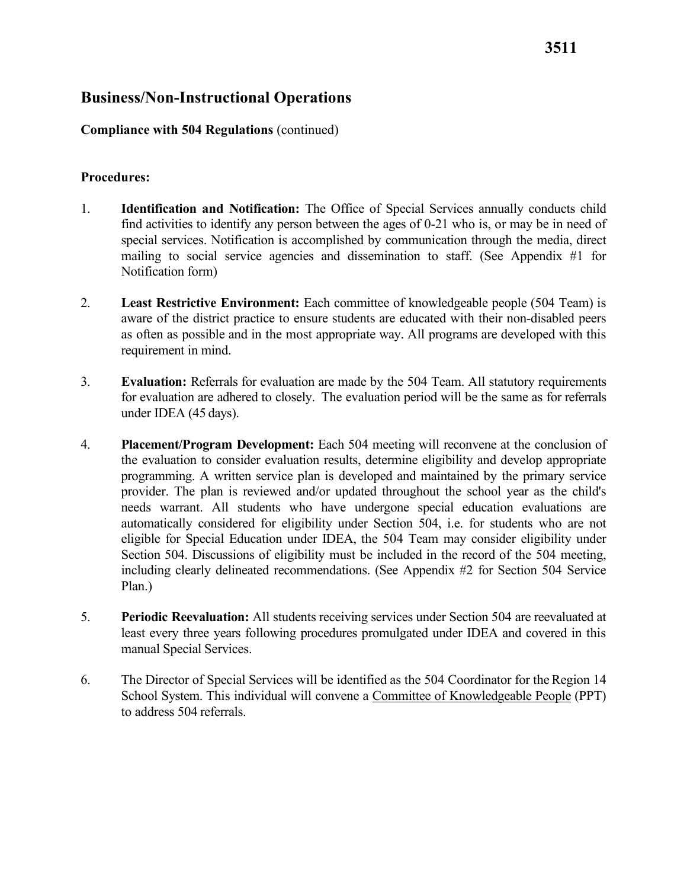#### **Compliance with 504 Regulations** (continued)

#### **Procedures:**

- 1. **Identification and Notification:** The Office of Special Services annually conducts child Notification form) find activities to identify any person between the ages of 0-21 who is, or may be in need of special services. Notification is accomplished by communication through the media, direct mailing to social service agencies and dissemination to staff. (See Appendix #1 for
- as often as possible and in the most appropriate way. All programs are developed with this requirement in mind. 2. **Least Restrictive Environment:** Each committee of knowledgeable people (504 Team) is aware of the district practice to ensure students are educated with their non-disabled peers
- under IDEA (45 days). 3. **Evaluation:** Referrals for evaluation are made by the 504 Team. All statutory requirements for evaluation are adhered to closely. The evaluation period will be the same as for referrals
- needs warrant. All students who have undergone special education evaluations are eligible for Special Education under IDEA, the 504 Team may consider eligibility under Section 504. Discussions of eligibility must be included in the record of the 504 meeting, 4. **Placement/Program Development:** Each 504 meeting will reconvene at the conclusion of the evaluation to consider evaluation results, determine eligibility and develop appropriate programming. A written service plan is developed and maintained by the primary service provider. The plan is reviewed and/or updated throughout the school year as the child's automatically considered for eligibility under Section 504, i.e. for students who are not including clearly delineated recommendations. (See Appendix #2 for Section 504 Service Plan.)
- manual Special Services. 5. **Periodic Reevaluation:** All students receiving services under Section 504 are reevaluated at least every three years following procedures promulgated under IDEA and covered in this
- to address 504 referrals. 6. The Director of Special Services will be identified as the 504 Coordinator for the Region 14 School System. This individual will convene a Committee of Knowledgeable People (PPT)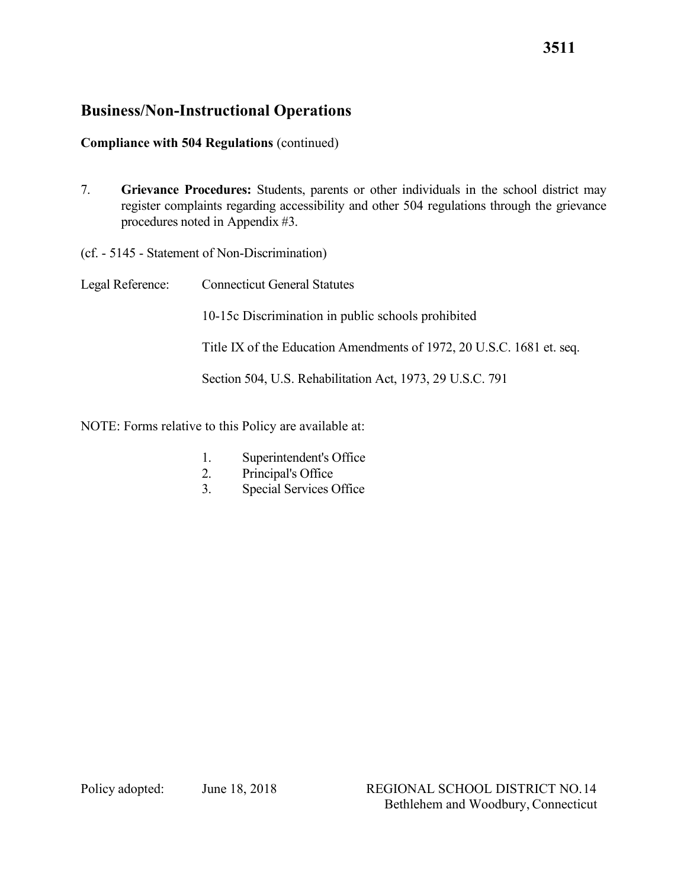# **Compliance with 504 Regulations** (continued)

- procedures noted in Appendix #3. 7. **Grievance Procedures:** Students, parents or other individuals in the school district may register complaints regarding accessibility and other 504 regulations through the grievance
- (cf. 5145 Statement of Non-Discrimination)
- Legal Reference: Connecticut General Statutes 10-15c Discrimination in public schools prohibited Title IX of the Education Amendments of 1972, 20 U.S.C. 1681 et. seq. Section 504, U.S. Rehabilitation Act, 1973, 29 U.S.C. 791
- NOTE: Forms relative to this Policy are available at:
	- 1. Superintendent's Office
	- 2. Principal's Office
	- 3. Special Services Office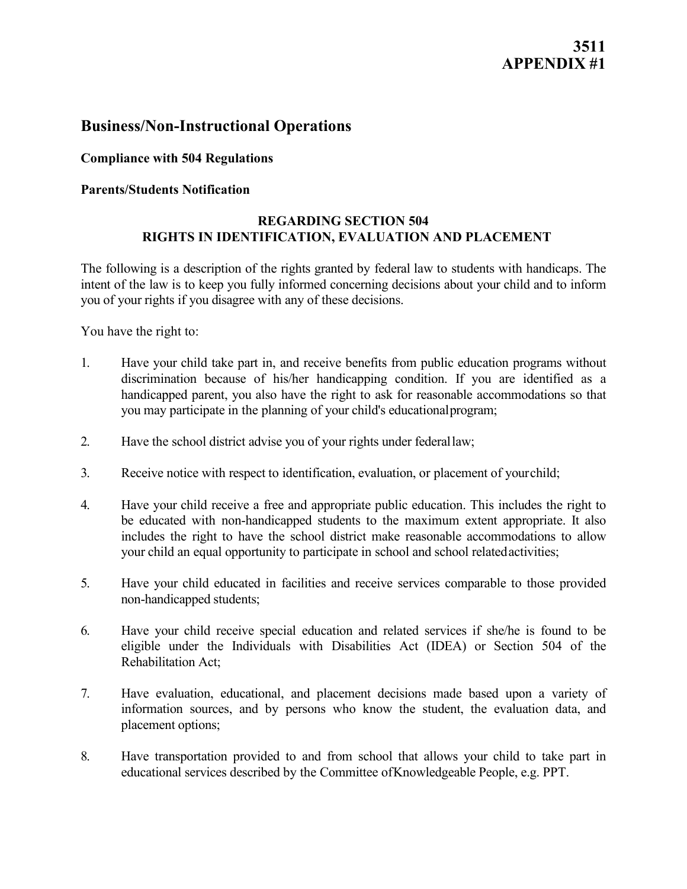# **3511 APPENDIX #1**

# **Business/Non-Instructional Operations**

## **Compliance with 504 Regulations**

### **Parents/Students Notification**

### **REGARDING SECTION 504 RIGHTS IN IDENTIFICATION, EVALUATION AND PLACEMENT**

 The following is a description of the rights granted by federal law to students with handicaps. The intent of the law is to keep you fully informed concerning decisions about your child and to inform you of your rights if you disagree with any of these decisions.

You have the right to:

- you may participate in the planning of your child's educationalprogram; 1. Have your child take part in, and receive benefits from public education programs without discrimination because of his/her handicapping condition. If you are identified as a handicapped parent, you also have the right to ask for reasonable accommodations so that
- 2. Have the school district advise you of your rights under federallaw;
- 3. Receive notice with respect to identification, evaluation, or placement of yourchild;
- your child an equal opportunity to participate in school and school relatedactivities; 4. Have your child receive a free and appropriate public education. This includes the right to be educated with non-handicapped students to the maximum extent appropriate. It also includes the right to have the school district make reasonable accommodations to allow
- non-handicapped students; 5. Have your child educated in facilities and receive services comparable to those provided
- 6. Have your child receive special education and related services if she/he is found to be Rehabilitation Act; eligible under the Individuals with Disabilities Act (IDEA) or Section 504 of the
- 7. Have evaluation, educational, and placement decisions made based upon a variety of information sources, and by persons who know the student, the evaluation data, and placement options;
- 8. Have transportation provided to and from school that allows your child to take part in educational services described by the Committee ofKnowledgeable People, e.g. PPT.